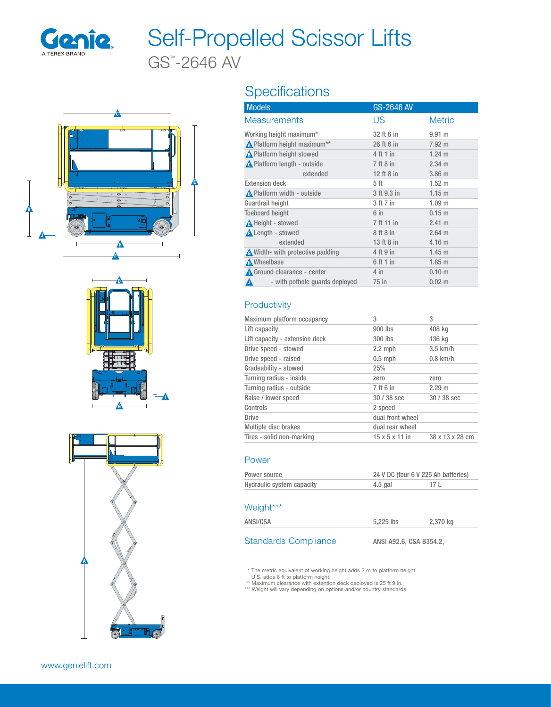

# Self-Propelled Scissor Lifts

GS™ -2646 AV







# Specifications

| <b>Models</b>                       | GS-2646 AV  |                   |
|-------------------------------------|-------------|-------------------|
| <b>Measurements</b>                 | US          | <b>Metric</b>     |
| Working height maximum*             | 32 ft 6 in  | $9.91$ m          |
| Nelatform height maximum**          | 26 ft 6 in  | $7.92 \text{ m}$  |
| A Platform height stowed            | $4$ ft 1 in | $1.24 \text{ m}$  |
| A Platform length - outside         | 7 ft 8 in   | $2.34 \text{ m}$  |
| extended                            | 12 ft 8 in  | 3.86 <sub>m</sub> |
| <b>Extension deck</b>               | 5 ft        | $1.52 \text{ m}$  |
| Platform width - outside            | 3 ft 9.3 in | 1.15 m            |
| Guardrail height                    | 3 ft 7 in   | 1.09 <sub>m</sub> |
| <b>Toeboard height</b>              | $6$ in      | $0.15$ m          |
| <b>A</b> Height - stowed            | 7 ft 11 in  | 2.41 m            |
| <b>A</b> Length - stowed            | 8 ft 8 in   | $2.64 \text{ m}$  |
| extended                            | 13 ft 8 in  | 4.16 <sub>m</sub> |
| Width- with protective padding      | 4 ft 9 in   | 1.45 m            |
| Mheelbase                           | 6 ft 1 in   | 1.85 m            |
| Ground clearance - center           | $4$ in      | 0.10 <sub>m</sub> |
| - with pothole guards deployed<br>Λ | 75 in       | $0.02 \; m$       |

# **Productivity**

| Maximum platform occupancy     | 3                          | 3               |
|--------------------------------|----------------------------|-----------------|
| Lift capacity                  | 900 lbs                    | 408 kg          |
| Lift capacity - extension deck | 300 lbs                    | 136 kg          |
| Drive speed - stowed           | $2.2$ mph                  | $3.5$ km/h      |
| Drive speed - raised           | $0.5$ mph                  | $0.8$ km/h      |
| Gradeability - stowed          | 25%                        |                 |
| Turning radius - inside        | zero                       | zero            |
| Turning radius - outside       | 7 ft 6 in                  | 2.29 m          |
| Raise / lower speed            | $30/38$ sec                | $30/38$ sec     |
| Controls                       | 2 speed                    |                 |
| <b>Drive</b>                   | dual front wheel           |                 |
| Multiple disc brakes           | dual rear wheel            |                 |
| Tires - solid non-marking      | $15 \times 5 \times 11$ in | 38 x 13 x 28 cm |

# Power

| Power source              | 24 V DC (four 6 V 225 Ah batteries) |      |
|---------------------------|-------------------------------------|------|
| Hydraulic system capacity | 4.5 gal                             | 17 L |

#### Weight\*\*\*

| .        |           |          |
|----------|-----------|----------|
| ANSI/CSA | 5,225 lbs | 2,370 kg |
|          |           |          |

# Standards Compliance ANSI A92.6, CSA B354.2,

\* The metric equivalent of working height adds 2 m to platform height.

U.S. adds 6 ft to platform height.<br>\*\* Maximum clearance with extention deck deployed is 25 ft 9 in.<br>\*\*\* Weight will vary depending on options and/or country standards.